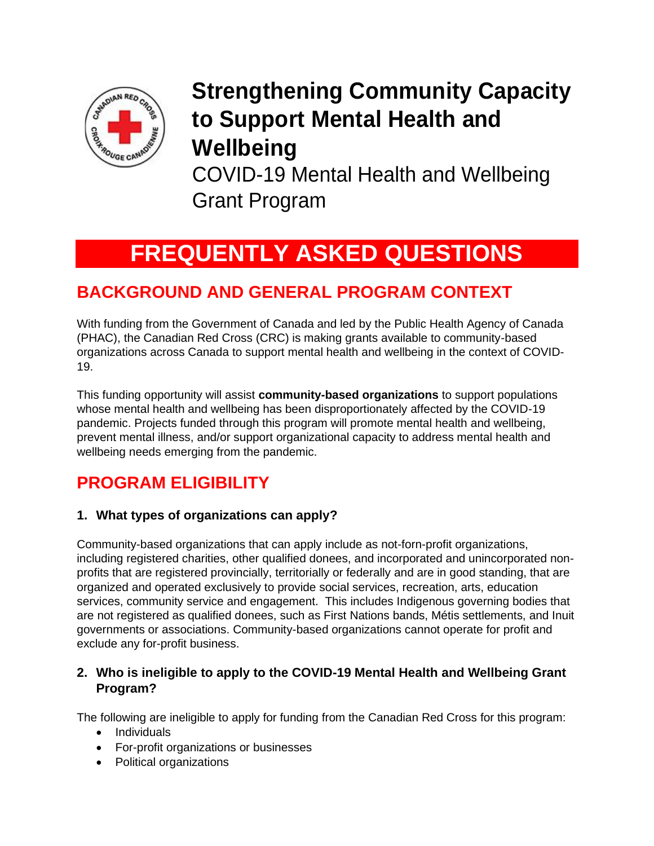

# **Strengthening Community Capacity to Support Mental Health and Wellbeing**

COVID-19 Mental Health and Wellbeing Grant Program

# **FREQUENTLY ASKED QUESTIONS**

## **BACKGROUND AND GENERAL PROGRAM CONTEXT**

With funding from the Government of Canada and led by the Public Health Agency of Canada (PHAC), the Canadian Red Cross (CRC) is making grants available to community-based organizations across Canada to support mental health and wellbeing in the context of COVID-19.

This funding opportunity will assist **community-based organizations** to support populations whose mental health and wellbeing has been disproportionately affected by the COVID-19 pandemic. Projects funded through this program will promote mental health and wellbeing, prevent mental illness, and/or support organizational capacity to address mental health and wellbeing needs emerging from the pandemic.

## **PROGRAM ELIGIBILITY**

#### **1. What types of organizations can apply?**

Community-based organizations that can apply include as not-forn-profit organizations, including registered charities, other qualified donees, and incorporated and unincorporated nonprofits that are registered provincially, territorially or federally and are in good standing, that are organized and operated exclusively to provide social services, recreation, arts, education services, community service and engagement. This includes Indigenous governing bodies that are not registered as qualified donees, such as First Nations bands, Métis settlements, and Inuit governments or associations. Community-based organizations cannot operate for profit and exclude any for-profit business.

#### **2. Who is ineligible to apply to the COVID-19 Mental Health and Wellbeing Grant Program?**

The following are ineligible to apply for funding from the Canadian Red Cross for this program:

- Individuals
- For-profit organizations or businesses
- Political organizations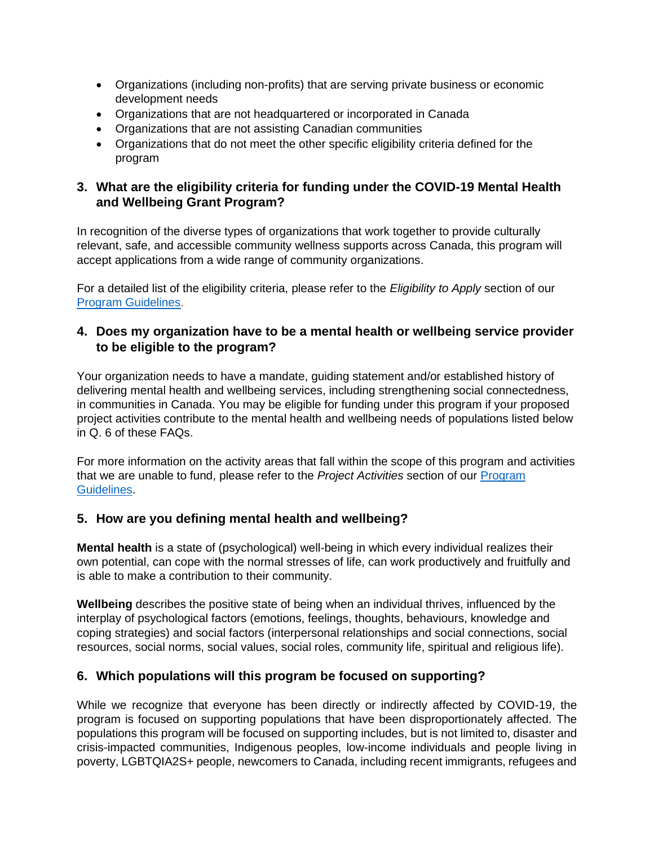- Organizations (including non-profits) that are serving private business or economic development needs
- Organizations that are not headquartered or incorporated in Canada
- Organizations that are not assisting Canadian communities
- Organizations that do not meet the other specific eligibility criteria defined for the program

#### **3. What are the eligibility criteria for funding under the COVID-19 Mental Health and Wellbeing Grant Program?**

In recognition of the diverse types of organizations that work together to provide culturally relevant, safe, and accessible community wellness supports across Canada, this program will accept applications from a wide range of community organizations.

For a detailed list of the eligibility criteria, please refer to the *Eligibility to Apply* section of our [Program Guidelines.](https://www.redcross.ca/crc/documents/How-We-Help/Current-Emergency-Responses/COVID-19/MH-Grants_Program-Guidelines_EN-pdf.pdf)

#### **4. Does my organization have to be a mental health or wellbeing service provider to be eligible to the program?**

Your organization needs to have a mandate, guiding statement and/or established history of delivering mental health and wellbeing services, including strengthening social connectedness, in communities in Canada. You may be eligible for funding under this program if your proposed project activities contribute to the mental health and wellbeing needs of populations listed below in Q. 6 of these FAQs.

For more information on the activity areas that fall within the scope of this program and activities that we are unable to fund, please refer to the *Project Activities* section of our [Program](https://www.redcross.ca/crc/documents/How-We-Help/Current-Emergency-Responses/COVID-19/MH-Grants_Program-Guidelines_EN-pdf.pdf)  [Guidelines.](https://www.redcross.ca/crc/documents/How-We-Help/Current-Emergency-Responses/COVID-19/MH-Grants_Program-Guidelines_EN-pdf.pdf)

#### **5. How are you defining mental health and wellbeing?**

**Mental health** is a state of (psychological) well-being in which every individual realizes their own potential, can cope with the normal stresses of life, can work productively and fruitfully and is able to make a contribution to their community.

**Wellbeing** describes the positive state of being when an individual thrives, influenced by the interplay of psychological factors (emotions, feelings, thoughts, behaviours, knowledge and coping strategies) and social factors (interpersonal relationships and social connections, social resources, social norms, social values, social roles, community life, spiritual and religious life).

#### **6. Which populations will this program be focused on supporting?**

While we recognize that everyone has been directly or indirectly affected by COVID-19, the program is focused on supporting populations that have been disproportionately affected. The populations this program will be focused on supporting includes, but is not limited to, disaster and crisis-impacted communities, Indigenous peoples, low-income individuals and people living in poverty, LGBTQIA2S+ people, newcomers to Canada, including recent immigrants, refugees and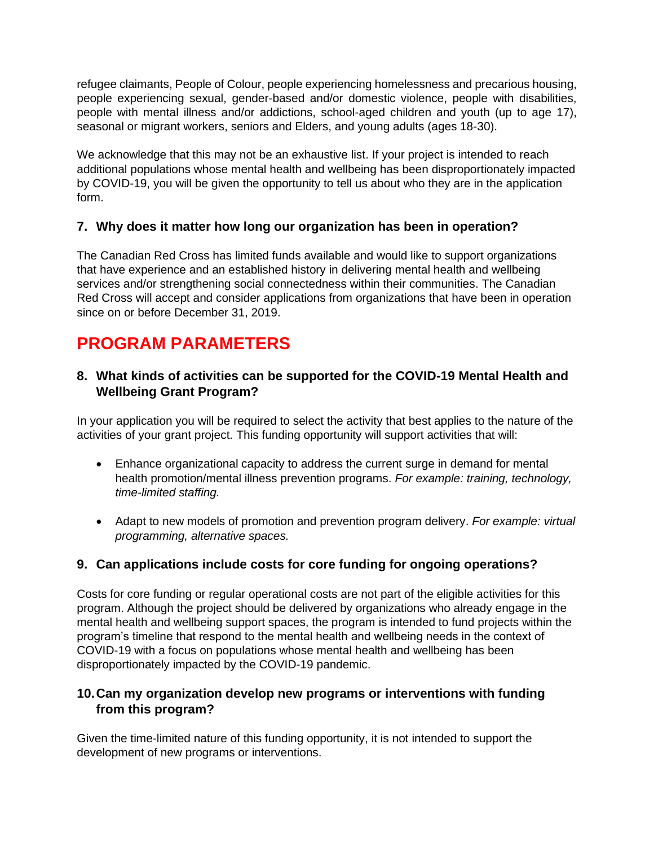refugee claimants, People of Colour, people experiencing homelessness and precarious housing, people experiencing sexual, gender-based and/or domestic violence, people with disabilities, people with mental illness and/or addictions, school-aged children and youth (up to age 17), seasonal or migrant workers, seniors and Elders, and young adults (ages 18-30).

We acknowledge that this may not be an exhaustive list. If your project is intended to reach additional populations whose mental health and wellbeing has been disproportionately impacted by COVID-19, you will be given the opportunity to tell us about who they are in the application form.

#### **7. Why does it matter how long our organization has been in operation?**

The Canadian Red Cross has limited funds available and would like to support organizations that have experience and an established history in delivering mental health and wellbeing services and/or strengthening social connectedness within their communities. The Canadian Red Cross will accept and consider applications from organizations that have been in operation since on or before December 31, 2019.

### **PROGRAM PARAMETERS**

#### **8. What kinds of activities can be supported for the COVID-19 Mental Health and Wellbeing Grant Program?**

In your application you will be required to select the activity that best applies to the nature of the activities of your grant project. This funding opportunity will support activities that will:

- Enhance organizational capacity to address the current surge in demand for mental health promotion/mental illness prevention programs. *For example: training, technology, time-limited staffing.*
- Adapt to new models of promotion and prevention program delivery. *For example: virtual programming, alternative spaces.*

#### **9. Can applications include costs for core funding for ongoing operations?**

Costs for core funding or regular operational costs are not part of the eligible activities for this program. Although the project should be delivered by organizations who already engage in the mental health and wellbeing support spaces, the program is intended to fund projects within the program's timeline that respond to the mental health and wellbeing needs in the context of COVID-19 with a focus on populations whose mental health and wellbeing has been disproportionately impacted by the COVID-19 pandemic.

#### **10.Can my organization develop new programs or interventions with funding from this program?**

Given the time-limited nature of this funding opportunity, it is not intended to support the development of new programs or interventions.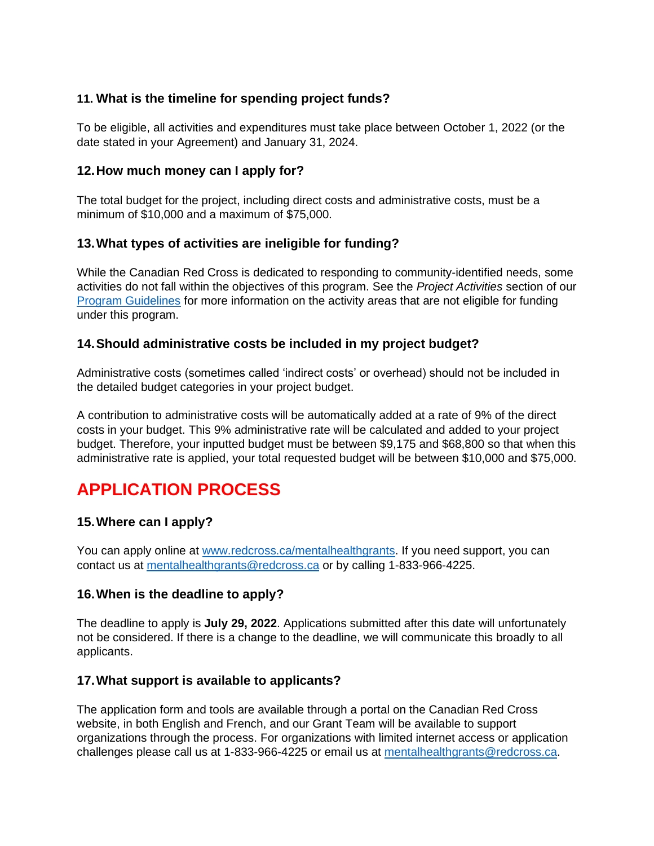#### **11. What is the timeline for spending project funds?**

To be eligible, all activities and expenditures must take place between October 1, 2022 (or the date stated in your Agreement) and January 31, 2024.

#### **12.How much money can I apply for?**

The total budget for the project, including direct costs and administrative costs, must be a minimum of \$10,000 and a maximum of \$75,000.

#### **13.What types of activities are ineligible for funding?**

While the Canadian Red Cross is dedicated to responding to community-identified needs, some activities do not fall within the objectives of this program. See the *Project Activities* section of our [Program Guidelines](https://www.redcross.ca/crc/documents/How-We-Help/Current-Emergency-Responses/COVID-19/MH-Grants_Program-Guidelines_EN-pdf.pdf) for more information on the activity areas that are not eligible for funding under this program.

#### **14.Should administrative costs be included in my project budget?**

Administrative costs (sometimes called 'indirect costs' or overhead) should not be included in the detailed budget categories in your project budget.

A contribution to administrative costs will be automatically added at a rate of 9% of the direct costs in your budget. This 9% administrative rate will be calculated and added to your project budget. Therefore, your inputted budget must be between \$9,175 and \$68,800 so that when this administrative rate is applied, your total requested budget will be between \$10,000 and \$75,000.

### **APPLICATION PROCESS**

#### **15.Where can I apply?**

You can apply online at [www.redcross.ca/mentalhealthgrants.](http://www.redcross.ca/mentalhealthgrants) If you need support, you can contact us at [mentalhealthgrants@redcross.ca](mailto:mentalhealthgrants@redcross.ca) or by calling 1-833-966-4225.

#### **16.When is the deadline to apply?**

The deadline to apply is **July 29, 2022**. Applications submitted after this date will unfortunately not be considered. If there is a change to the deadline, we will communicate this broadly to all applicants.

#### **17.What support is available to applicants?**

The application form and tools are available through a portal on the Canadian Red Cross website, in both English and French, and our Grant Team will be available to support organizations through the process. For organizations with limited internet access or application challenges please call us at 1-833-966-4225 or email us at mentalhealthgrants@redcross.ca.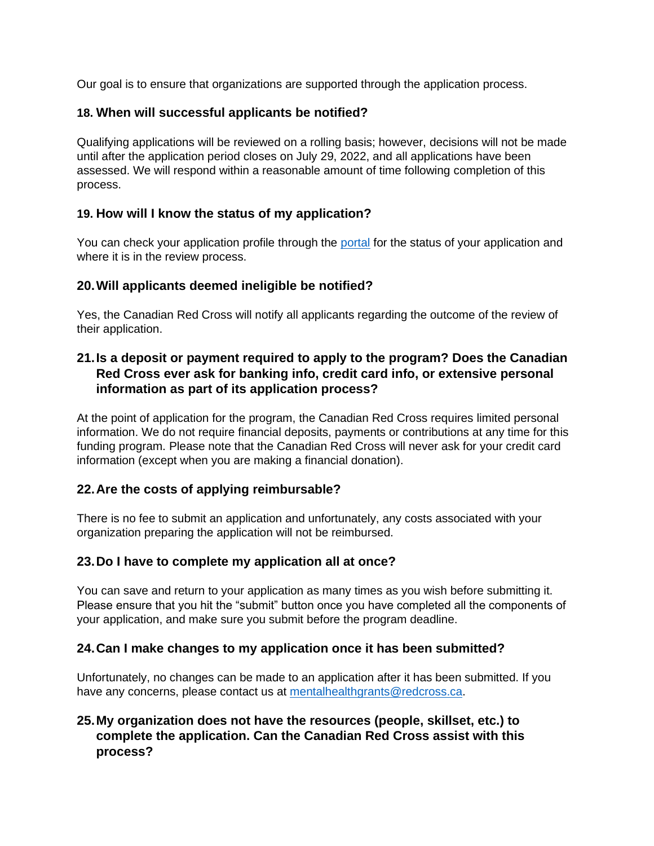Our goal is to ensure that organizations are supported through the application process.

#### **18. When will successful applicants be notified?**

Qualifying applications will be reviewed on a rolling basis; however, decisions will not be made until after the application period closes on July 29, 2022, and all applications have been assessed. We will respond within a reasonable amount of time following completion of this process.

#### **19. How will I know the status of my application?**

You can check your application profile through the [portal](https://redcross.smapply.ca/) for the status of your application and where it is in the review process.

#### **20.Will applicants deemed ineligible be notified?**

Yes, the Canadian Red Cross will notify all applicants regarding the outcome of the review of their application.

#### **21.Is a deposit or payment required to apply to the program? Does the Canadian Red Cross ever ask for banking info, credit card info, or extensive personal information as part of its application process?**

At the point of application for the program, the Canadian Red Cross requires limited personal information. We do not require financial deposits, payments or contributions at any time for this funding program. Please note that the Canadian Red Cross will never ask for your credit card information (except when you are making a financial donation).

#### **22.Are the costs of applying reimbursable?**

There is no fee to submit an application and unfortunately, any costs associated with your organization preparing the application will not be reimbursed.

#### **23.Do I have to complete my application all at once?**

You can save and return to your application as many times as you wish before submitting it. Please ensure that you hit the "submit" button once you have completed all the components of your application, and make sure you submit before the program deadline.

#### **24.Can I make changes to my application once it has been submitted?**

Unfortunately, no changes can be made to an application after it has been submitted. If you have any concerns, please contact us at [mentalhealthgrants@redcross.ca.](mailto:mentalhealthgrants@redcross.ca)

#### **25.My organization does not have the resources (people, skillset, etc.) to complete the application. Can the Canadian Red Cross assist with this process?**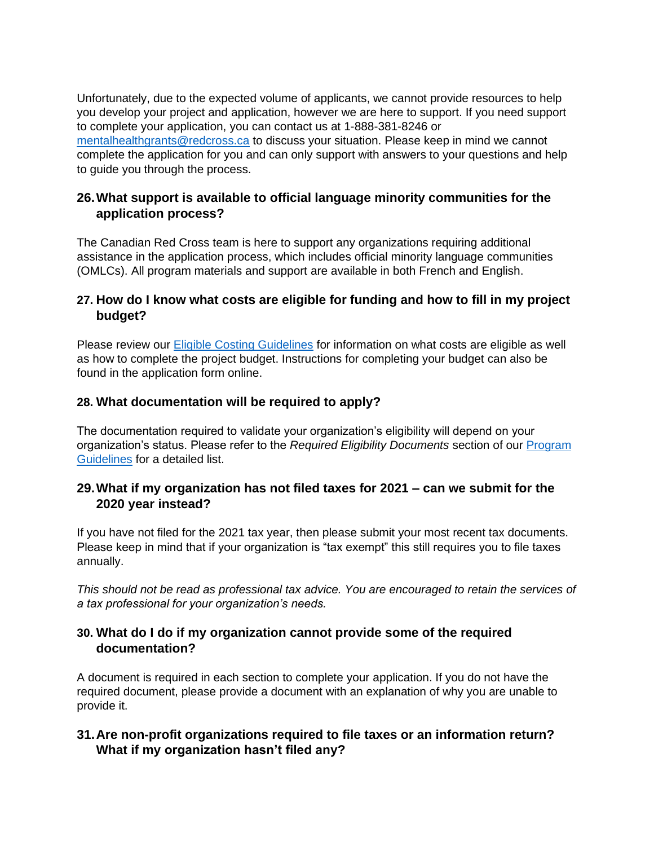Unfortunately, due to the expected volume of applicants, we cannot provide resources to help you develop your project and application, however we are here to support. If you need support to complete your application, you can contact us at 1-888-381-8246 or [mentalhealthgrants@redcross.ca](mailto:mentalhealthgrants@redcross.ca) to discuss your situation. Please keep in mind we cannot complete the application for you and can only support with answers to your questions and help to guide you through the process.

#### **26.What support is available to official language minority communities for the application process?**

The Canadian Red Cross team is here to support any organizations requiring additional assistance in the application process, which includes official minority language communities (OMLCs). All program materials and support are available in both French and English.

#### **27. How do I know what costs are eligible for funding and how to fill in my project budget?**

Please review our [Eligible Costing Guidelines](https://www.redcross.ca/crc/documents/How-We-Help/Current-Emergency-Responses/COVID-19/MH-Grants_Eligible-Costing-Guidelines_EN.pdf) for information on what costs are eligible as well as how to complete the project budget. Instructions for completing your budget can also be found in the application form online.

#### **28. What documentation will be required to apply?**

The documentation required to validate your organization's eligibility will depend on your organization's status. Please refer to the *Required Eligibility Documents* section of our [Program](https://www.redcross.ca/crc/documents/How-We-Help/Current-Emergency-Responses/COVID-19/MH-Grants_Program-Guidelines_EN-pdf.pdf)  [Guidelines](https://www.redcross.ca/crc/documents/How-We-Help/Current-Emergency-Responses/COVID-19/MH-Grants_Program-Guidelines_EN-pdf.pdf) for a detailed list.

#### **29.What if my organization has not filed taxes for 2021 – can we submit for the 2020 year instead?**

If you have not filed for the 2021 tax year, then please submit your most recent tax documents. Please keep in mind that if your organization is "tax exempt" this still requires you to file taxes annually.

*This should not be read as professional tax advice. You are encouraged to retain the services of a tax professional for your organization's needs.*

#### **30. What do I do if my organization cannot provide some of the required documentation?**

A document is required in each section to complete your application. If you do not have the required document, please provide a document with an explanation of why you are unable to provide it.

#### **31.Are non-profit organizations required to file taxes or an information return? What if my organization hasn't filed any?**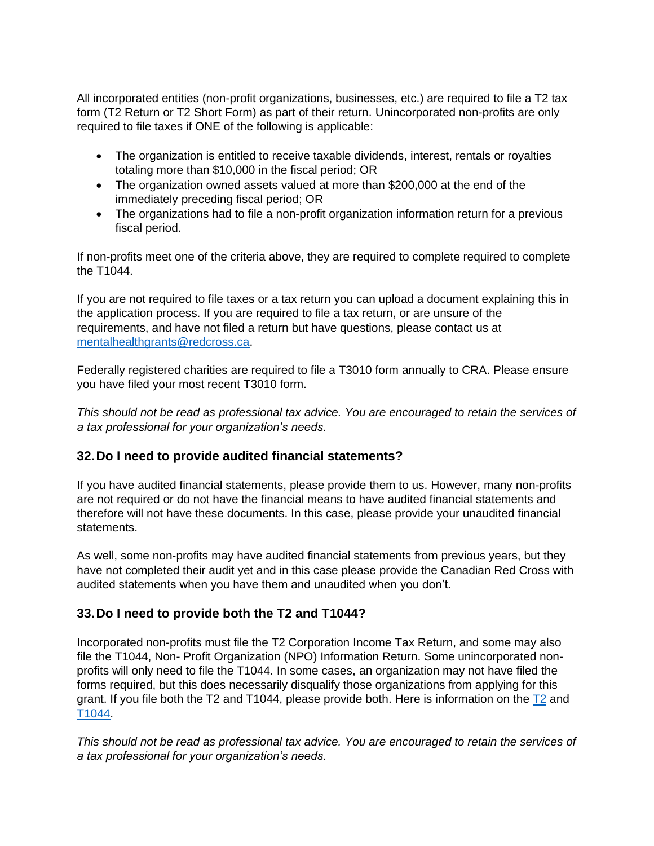All incorporated entities (non-profit organizations, businesses, etc.) are required to file a T2 tax form (T2 Return or T2 Short Form) as part of their return. Unincorporated non-profits are only required to file taxes if ONE of the following is applicable:

- The organization is entitled to receive taxable dividends, interest, rentals or royalties totaling more than \$10,000 in the fiscal period; OR
- The organization owned assets valued at more than \$200,000 at the end of the immediately preceding fiscal period; OR
- The organizations had to file a non-profit organization information return for a previous fiscal period.

If non-profits meet one of the criteria above, they are required to complete required to complete the T1044.

If you are not required to file taxes or a tax return you can upload a document explaining this in the application process. If you are required to file a tax return, or are unsure of the requirements, and have not filed a return but have questions, please contact us at [mentalhealthgrants@redcross.ca.](mailto:mentalhealthgrants@redcross.ca)

Federally registered charities are required to file a T3010 form annually to CRA. Please ensure you have filed your most recent T3010 form.

*This should not be read as professional tax advice. You are encouraged to retain the services of a tax professional for your organization's needs.*

#### **32.Do I need to provide audited financial statements?**

If you have audited financial statements, please provide them to us. However, many non-profits are not required or do not have the financial means to have audited financial statements and therefore will not have these documents. In this case, please provide your unaudited financial statements.

As well, some non-profits may have audited financial statements from previous years, but they have not completed their audit yet and in this case please provide the Canadian Red Cross with audited statements when you have them and unaudited when you don't.

#### **33.Do I need to provide both the T2 and T1044?**

Incorporated non-profits must file the T2 Corporation Income Tax Return, and some may also file the T1044, Non- Profit Organization (NPO) Information Return. Some unincorporated nonprofits will only need to file the T1044. In some cases, an organization may not have filed the forms required, but this does necessarily disqualify those organizations from applying for this grant. If you file both the [T2](https://www.canada.ca/en/revenue-agency/services/forms-publications/forms/t2.html?=slnk) and T1044, please provide both. Here is information on the  $T2$  and [T1044.](https://www.canada.ca/en/revenue-agency/services/forms-publications/forms/t1044.html)

*This should not be read as professional tax advice. You are encouraged to retain the services of a tax professional for your organization's needs.*